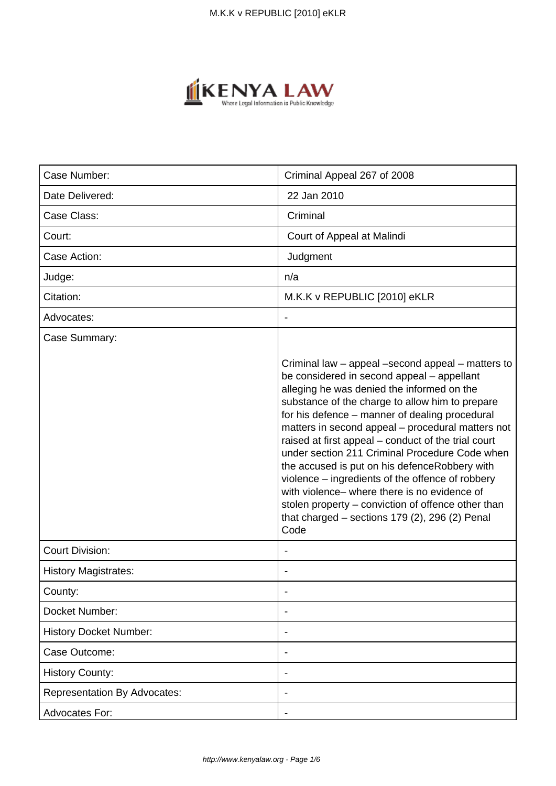

| Case Number:                        | Criminal Appeal 267 of 2008                                                                                                                                                                                                                                                                                                                                                                                                                                                                                                                                                                                                                                                              |
|-------------------------------------|------------------------------------------------------------------------------------------------------------------------------------------------------------------------------------------------------------------------------------------------------------------------------------------------------------------------------------------------------------------------------------------------------------------------------------------------------------------------------------------------------------------------------------------------------------------------------------------------------------------------------------------------------------------------------------------|
| Date Delivered:                     | 22 Jan 2010                                                                                                                                                                                                                                                                                                                                                                                                                                                                                                                                                                                                                                                                              |
| Case Class:                         | Criminal                                                                                                                                                                                                                                                                                                                                                                                                                                                                                                                                                                                                                                                                                 |
| Court:                              | Court of Appeal at Malindi                                                                                                                                                                                                                                                                                                                                                                                                                                                                                                                                                                                                                                                               |
| Case Action:                        | Judgment                                                                                                                                                                                                                                                                                                                                                                                                                                                                                                                                                                                                                                                                                 |
| Judge:                              | n/a                                                                                                                                                                                                                                                                                                                                                                                                                                                                                                                                                                                                                                                                                      |
| Citation:                           | M.K.K v REPUBLIC [2010] eKLR                                                                                                                                                                                                                                                                                                                                                                                                                                                                                                                                                                                                                                                             |
| Advocates:                          |                                                                                                                                                                                                                                                                                                                                                                                                                                                                                                                                                                                                                                                                                          |
| Case Summary:                       | Criminal law - appeal -second appeal - matters to<br>be considered in second appeal - appellant<br>alleging he was denied the informed on the<br>substance of the charge to allow him to prepare<br>for his defence - manner of dealing procedural<br>matters in second appeal - procedural matters not<br>raised at first appeal – conduct of the trial court<br>under section 211 Criminal Procedure Code when<br>the accused is put on his defenceRobbery with<br>violence – ingredients of the offence of robbery<br>with violence – where there is no evidence of<br>stolen property – conviction of offence other than<br>that charged $-$ sections 179 (2), 296 (2) Penal<br>Code |
| <b>Court Division:</b>              |                                                                                                                                                                                                                                                                                                                                                                                                                                                                                                                                                                                                                                                                                          |
| <b>History Magistrates:</b>         |                                                                                                                                                                                                                                                                                                                                                                                                                                                                                                                                                                                                                                                                                          |
| County:                             |                                                                                                                                                                                                                                                                                                                                                                                                                                                                                                                                                                                                                                                                                          |
| Docket Number:                      |                                                                                                                                                                                                                                                                                                                                                                                                                                                                                                                                                                                                                                                                                          |
| <b>History Docket Number:</b>       |                                                                                                                                                                                                                                                                                                                                                                                                                                                                                                                                                                                                                                                                                          |
| Case Outcome:                       |                                                                                                                                                                                                                                                                                                                                                                                                                                                                                                                                                                                                                                                                                          |
| <b>History County:</b>              | $\blacksquare$                                                                                                                                                                                                                                                                                                                                                                                                                                                                                                                                                                                                                                                                           |
| <b>Representation By Advocates:</b> |                                                                                                                                                                                                                                                                                                                                                                                                                                                                                                                                                                                                                                                                                          |
| Advocates For:                      |                                                                                                                                                                                                                                                                                                                                                                                                                                                                                                                                                                                                                                                                                          |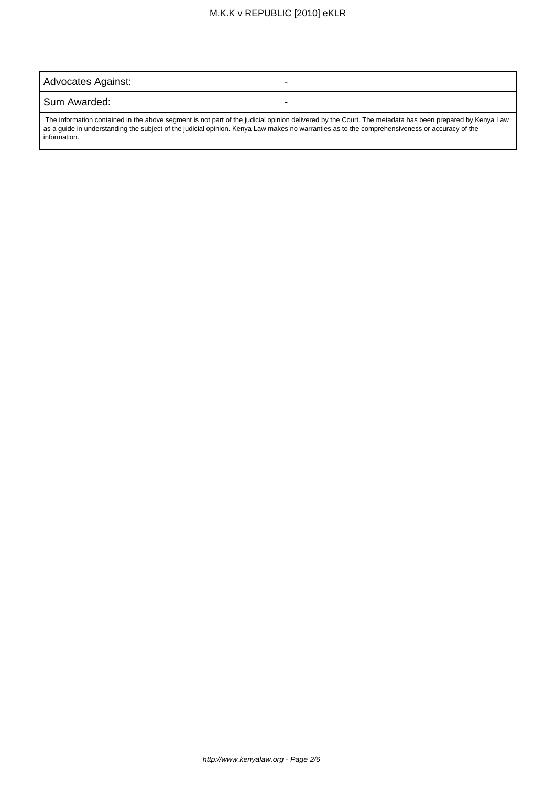# M.K.K v REPUBLIC [2010] eKLR

| Advocates Against:                                                                                                                                            |  |
|---------------------------------------------------------------------------------------------------------------------------------------------------------------|--|
| Sum Awarded:                                                                                                                                                  |  |
| $\Box$ The information contained in the above segment is not part of the judicial epipien delivered by the Court. The metadate has been prepared by Kenya Law |  |

 The information contained in the above segment is not part of the judicial opinion delivered by the Court. The metadata has been prepared by Kenya Law as a guide in understanding the subject of the judicial opinion. Kenya Law makes no warranties as to the comprehensiveness or accuracy of the information.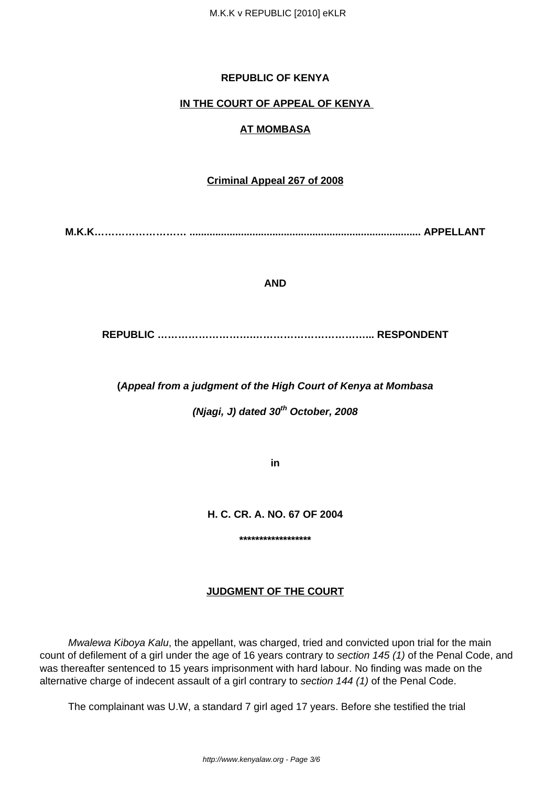### **REPUBLIC OF KENYA**

### **IN THE COURT OF APPEAL OF KENYA**

## **AT MOMBASA**

#### **Criminal Appeal 267 of 2008**

**M.K.K……………………… ................................................................................. APPELLANT**

#### **AND**

**REPUBLIC ……………………….……………………………... RESPONDENT**

**(Appeal from a judgment of the High Court of Kenya at Mombasa**

**(Njagi, J) dated 30th October, 2008**

**in**

**H. C. CR. A. NO. 67 OF 2004**

**\*\*\*\*\*\*\*\*\*\*\*\*\*\*\*\*\*\***

#### **JUDGMENT OF THE COURT**

Mwalewa Kiboya Kalu, the appellant, was charged, tried and convicted upon trial for the main count of defilement of a girl under the age of 16 years contrary to section 145 (1) of the Penal Code, and was thereafter sentenced to 15 years imprisonment with hard labour. No finding was made on the alternative charge of indecent assault of a girl contrary to section 144 (1) of the Penal Code.

The complainant was U.W, a standard 7 girl aged 17 years. Before she testified the trial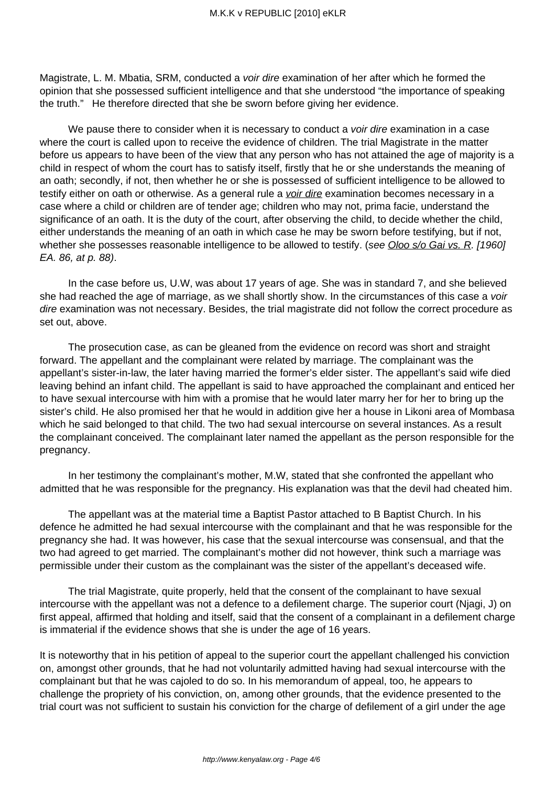Magistrate, L. M. Mbatia, SRM, conducted a voir dire examination of her after which he formed the opinion that she possessed sufficient intelligence and that she understood "the importance of speaking the truth." He therefore directed that she be sworn before giving her evidence.

We pause there to consider when it is necessary to conduct a *voir dire* examination in a case where the court is called upon to receive the evidence of children. The trial Magistrate in the matter before us appears to have been of the view that any person who has not attained the age of majority is a child in respect of whom the court has to satisfy itself, firstly that he or she understands the meaning of an oath; secondly, if not, then whether he or she is possessed of sufficient intelligence to be allowed to testify either on oath or otherwise. As a general rule a *voir dire* examination becomes necessary in a case where a child or children are of tender age; children who may not, prima facie, understand the significance of an oath. It is the duty of the court, after observing the child, to decide whether the child, either understands the meaning of an oath in which case he may be sworn before testifying, but if not, whether she possesses reasonable intelligence to be allowed to testify. (see Oloo s/o Gai vs. R. [1960] EA. 86, at p. 88).

 In the case before us, U.W, was about 17 years of age. She was in standard 7, and she believed she had reached the age of marriage, as we shall shortly show. In the circumstances of this case a voir dire examination was not necessary. Besides, the trial magistrate did not follow the correct procedure as set out, above.

 The prosecution case, as can be gleaned from the evidence on record was short and straight forward. The appellant and the complainant were related by marriage. The complainant was the appellant's sister-in-law, the later having married the former's elder sister. The appellant's said wife died leaving behind an infant child. The appellant is said to have approached the complainant and enticed her to have sexual intercourse with him with a promise that he would later marry her for her to bring up the sister's child. He also promised her that he would in addition give her a house in Likoni area of Mombasa which he said belonged to that child. The two had sexual intercourse on several instances. As a result the complainant conceived. The complainant later named the appellant as the person responsible for the pregnancy.

 In her testimony the complainant's mother, M.W, stated that she confronted the appellant who admitted that he was responsible for the pregnancy. His explanation was that the devil had cheated him.

 The appellant was at the material time a Baptist Pastor attached to B Baptist Church. In his defence he admitted he had sexual intercourse with the complainant and that he was responsible for the pregnancy she had. It was however, his case that the sexual intercourse was consensual, and that the two had agreed to get married. The complainant's mother did not however, think such a marriage was permissible under their custom as the complainant was the sister of the appellant's deceased wife.

 The trial Magistrate, quite properly, held that the consent of the complainant to have sexual intercourse with the appellant was not a defence to a defilement charge. The superior court (Njagi, J) on first appeal, affirmed that holding and itself, said that the consent of a complainant in a defilement charge is immaterial if the evidence shows that she is under the age of 16 years.

It is noteworthy that in his petition of appeal to the superior court the appellant challenged his conviction on, amongst other grounds, that he had not voluntarily admitted having had sexual intercourse with the complainant but that he was cajoled to do so. In his memorandum of appeal, too, he appears to challenge the propriety of his conviction, on, among other grounds, that the evidence presented to the trial court was not sufficient to sustain his conviction for the charge of defilement of a girl under the age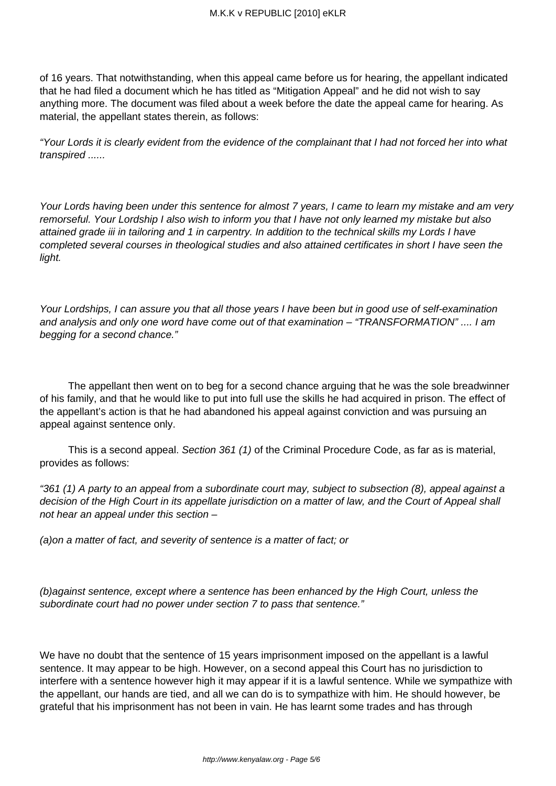of 16 years. That notwithstanding, when this appeal came before us for hearing, the appellant indicated that he had filed a document which he has titled as "Mitigation Appeal" and he did not wish to say anything more. The document was filed about a week before the date the appeal came for hearing. As material, the appellant states therein, as follows:

"Your Lords it is clearly evident from the evidence of the complainant that I had not forced her into what transpired ......

Your Lords having been under this sentence for almost 7 years, I came to learn my mistake and am very remorseful. Your Lordship I also wish to inform you that I have not only learned my mistake but also attained grade iii in tailoring and 1 in carpentry. In addition to the technical skills my Lords I have completed several courses in theological studies and also attained certificates in short I have seen the light.

Your Lordships, I can assure you that all those years I have been but in good use of self-examination and analysis and only one word have come out of that examination – "TRANSFORMATION" .... I am begging for a second chance."

 The appellant then went on to beg for a second chance arguing that he was the sole breadwinner of his family, and that he would like to put into full use the skills he had acquired in prison. The effect of the appellant's action is that he had abandoned his appeal against conviction and was pursuing an appeal against sentence only.

 This is a second appeal. Section 361 (1) of the Criminal Procedure Code, as far as is material, provides as follows:

"361 (1) A party to an appeal from a subordinate court may, subject to subsection (8), appeal against a decision of the High Court in its appellate jurisdiction on a matter of law, and the Court of Appeal shall not hear an appeal under this section –

(a)on a matter of fact, and severity of sentence is a matter of fact; or

(b)against sentence, except where a sentence has been enhanced by the High Court, unless the subordinate court had no power under section 7 to pass that sentence."

We have no doubt that the sentence of 15 years imprisonment imposed on the appellant is a lawful sentence. It may appear to be high. However, on a second appeal this Court has no jurisdiction to interfere with a sentence however high it may appear if it is a lawful sentence. While we sympathize with the appellant, our hands are tied, and all we can do is to sympathize with him. He should however, be grateful that his imprisonment has not been in vain. He has learnt some trades and has through